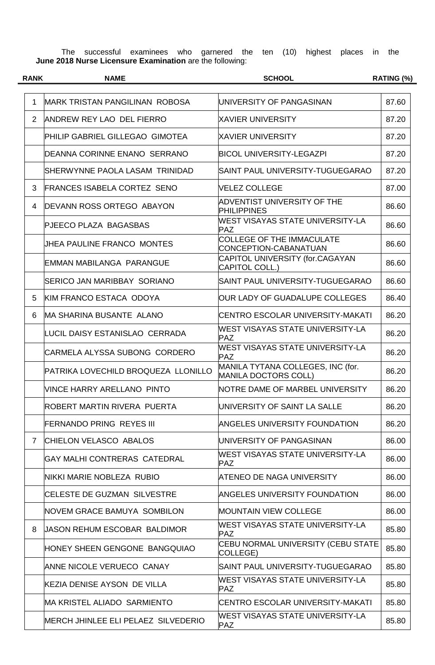The successful examinees who garnered the ten (10) highest places in the **June 2018 Nurse Licensure Examination** are the following:

| <b>RANK</b> | <b>NAME</b>                            | <b>SCHOOL</b>                                                    | RATING (%) |
|-------------|----------------------------------------|------------------------------------------------------------------|------------|
|             |                                        |                                                                  |            |
| 1           | <b>IMARK TRISTAN PANGILINAN ROBOSA</b> | UNIVERSITY OF PANGASINAN                                         | 87.60      |
| 2           | ANDREW REY LAO DEL FIERRO              | XAVIER UNIVERSITY                                                | 87.20      |
|             | PHILIP GABRIEL GILLEGAO GIMOTEA        | XAVIER UNIVERSITY                                                | 87.20      |
|             | DEANNA CORINNE ENANO SERRANO           | <b>BICOL UNIVERSITY-LEGAZPI</b>                                  | 87.20      |
|             | SHERWYNNE PAOLA LASAM TRINIDAD         | SAINT PAUL UNIVERSITY-TUGUEGARAO                                 | 87.20      |
| 3           | <b>FRANCES ISABELA CORTEZ SENO</b>     | <b>VELEZ COLLEGE</b>                                             | 87.00      |
| 4           | DEVANN ROSS ORTEGO ABAYON              | ADVENTIST UNIVERSITY OF THE<br><b>PHILIPPINES</b>                | 86.60      |
|             | PJEECO PLAZA BAGASBAS                  | WEST VISAYAS STATE UNIVERSITY-LA<br><b>PAZ</b>                   | 86.60      |
|             | JHEA PAULINE FRANCO MONTES             | <b>COLLEGE OF THE IMMACULATE</b><br>CONCEPTION-CABANATUAN        | 86.60      |
|             | <b>EMMAN MABILANGA PARANGUE</b>        | CAPITOL UNIVERSITY (for.CAGAYAN<br>CAPITOL COLL.)                | 86.60      |
|             | <b>SERICO JAN MARIBBAY SORIANO</b>     | SAINT PAUL UNIVERSITY-TUGUEGARAO                                 | 86.60      |
| 5           | KIM FRANCO ESTACA ODOYA                | OUR LADY OF GUADALUPE COLLEGES                                   | 86.40      |
| 6           | MA SHARINA BUSANTE ALANO               | CENTRO ESCOLAR UNIVERSITY-MAKATI                                 | 86.20      |
|             | LUCIL DAISY ESTANISLAO CERRADA         | WEST VISAYAS STATE UNIVERSITY-LA<br><b>PAZ</b>                   | 86.20      |
|             | CARMELA ALYSSA SUBONG CORDERO          | WEST VISAYAS STATE UNIVERSITY-LA<br><b>PAZ</b>                   | 86.20      |
|             | PATRIKA LOVECHILD BROQUEZA LLONILLO    | MANILA TYTANA COLLEGES, INC (for.<br><b>MANILA DOCTORS COLL)</b> | 86.20      |
|             | VINCE HARRY ARELLANO PINTO             | NOTRE DAME OF MARBEL UNIVERSITY                                  | 86.20      |
|             | ROBERT MARTIN RIVERA PUERTA            | IUNIVERSITY OF SAINT LA SALLE                                    | 86.20      |
|             | <b>FERNANDO PRING REYES III</b>        | ANGELES UNIVERSITY FOUNDATION                                    | 86.20      |
| 7           | <b>CHIELON VELASCO ABALOS</b>          | IUNIVERSITY OF PANGASINAN                                        | 86.00      |
|             | GAY MALHI CONTRERAS CATEDRAL           | WEST VISAYAS STATE UNIVERSITY-LA<br><b>PAZ</b>                   | 86.00      |
|             | INIKKI MARIE NOBLEZA  RUBIO            | IATENEO DE NAGA UNIVERSITY                                       | 86.00      |
|             | <b>CELESTE DE GUZMAN SILVESTRE</b>     | <b>ANGELES UNIVERSITY FOUNDATION</b>                             | 86.00      |
|             | NOVEM GRACE BAMUYA SOMBILON            | <b>IMOUNTAIN VIEW COLLEGE</b>                                    | 86.00      |
| 8           | UASON REHUM ESCOBAR BALDIMOR           | WEST VISAYAS STATE UNIVERSITY-LA<br><b>PAZ</b>                   | 85.80      |
|             | HONEY SHEEN GENGONE BANGQUIAO          | CEBU NORMAL UNIVERSITY (CEBU STATE<br>COLLEGE)                   | 85.80      |
|             | ANNE NICOLE VERUECO CANAY              | SAINT PAUL UNIVERSITY-TUGUEGARAO                                 | 85.80      |
|             | KEZIA DENISE AYSON DE VILLA            | WEST VISAYAS STATE UNIVERSITY-LA<br><b>PAZ</b>                   | 85.80      |
|             | <b>MA KRISTEL ALIADO SARMIENTO</b>     | ICENTRO ESCOLAR UNIVERSITY-MAKATI                                | 85.80      |
|             | MERCH JHINLEE ELI PELAEZ SILVEDERIO    | <b>WEST VISAYAS STATE UNIVERSITY-LA</b><br><b>PAZ</b>            | 85.80      |